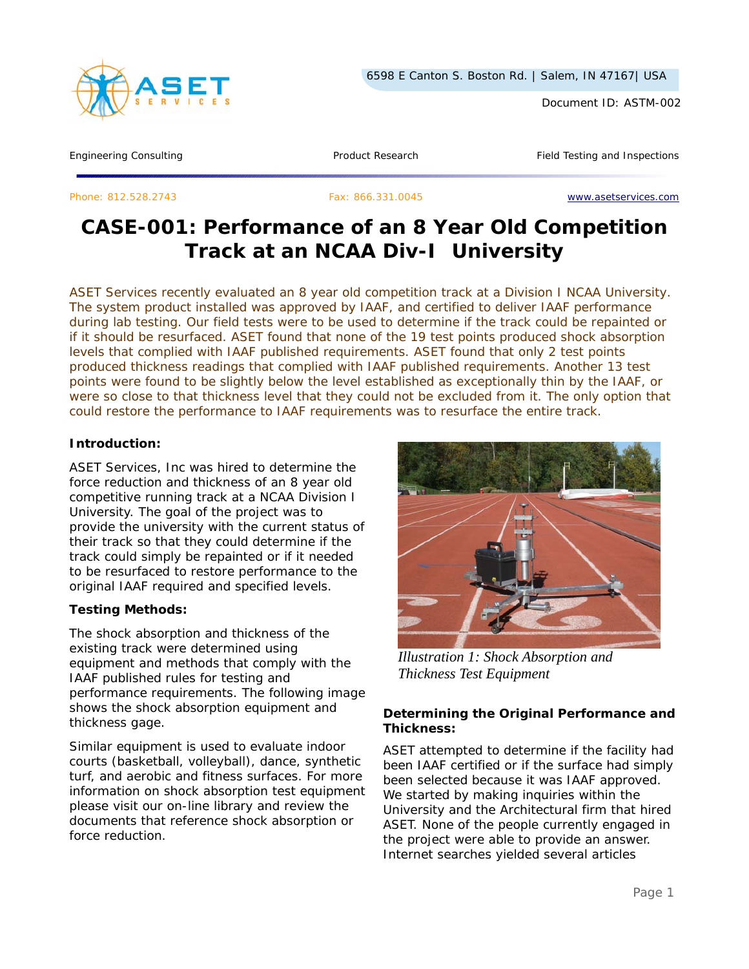

Document ID: ASTM-002

Engineering Consulting Testing Article 2012 Troduct Research Testing Product Research Field Testing and Inspections

Phone: 812.528.2743 Fax: 866.331.0045 www.asetservices.com

# **CASE-001: Performance of an 8 Year Old Competition Track at an NCAA Div-I University**

*ASET Services recently evaluated an 8 year old competition track at a Division I NCAA University. The system product installed was approved by IAAF, and certified to deliver IAAF performance during lab testing. Our field tests were to be used to determine if the track could be repainted or if it should be resurfaced. ASET found that none of the 19 test points produced shock absorption levels that complied with IAAF published requirements. ASET found that only 2 test points produced thickness readings that complied with IAAF published requirements. Another 13 test points were found to be slightly below the level established as exceptionally thin by the IAAF, or were so close to that thickness level that they could not be excluded from it. The only option that could restore the performance to IAAF requirements was to resurface the entire track.* 

## **Introduction:**

ASET Services, Inc was hired to determine the force reduction and thickness of an 8 year old competitive running track at a NCAA Division I University. The goal of the project was to provide the university with the current status of their track so that they could determine if the track could simply be repainted or if it needed to be resurfaced to restore performance to the original IAAF required and specified levels.

## **Testing Methods:**

The shock absorption and thickness of the existing track were determined using equipment and methods that comply with the IAAF published rules for testing and performance requirements. The following image shows the shock absorption equipment and thickness gage.

Similar equipment is used to evaluate indoor courts (basketball, volleyball), dance, synthetic turf, and aerobic and fitness surfaces. For more information on shock absorption test equipment please visit our on-line library and review the documents that reference shock absorption or force reduction.



*Illustration 1: Shock Absorption and Thickness Test Equipment*

## **Determining the Original Performance and Thickness:**

ASET attempted to determine if the facility had been IAAF certified or if the surface had simply been selected because it was IAAF approved. We started by making inquiries within the University and the Architectural firm that hired ASET. None of the people currently engaged in the project were able to provide an answer. Internet searches yielded several articles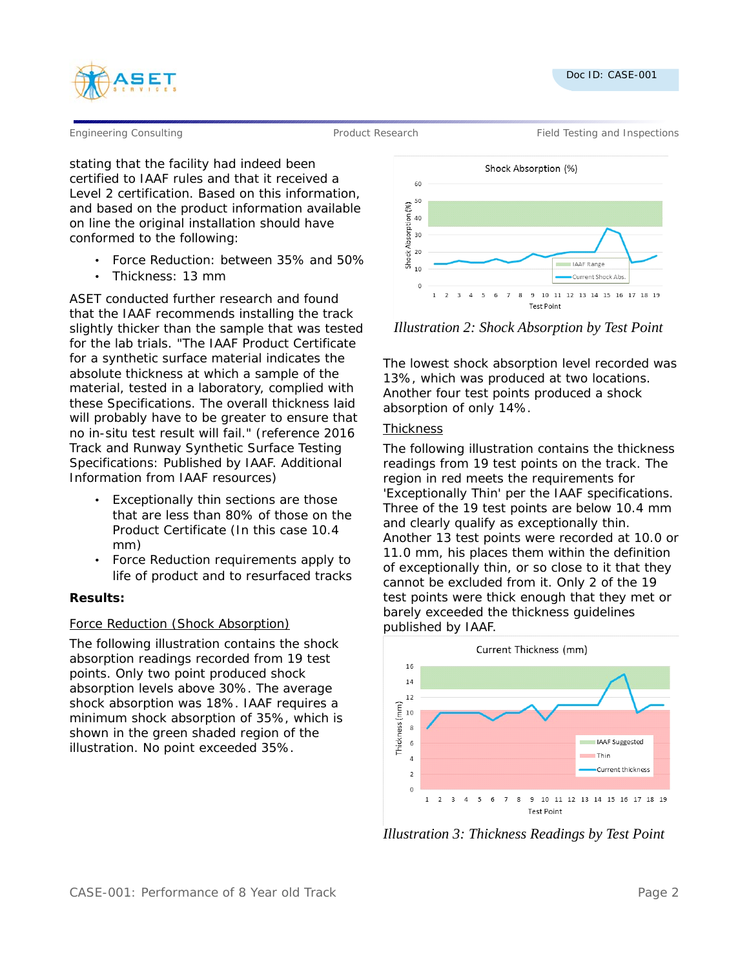



Engineering Consulting Testing According Product Research Field Testing and Inspections

stating that the facility had indeed been certified to IAAF rules and that it received a Level 2 certification. Based on this information, and based on the product information available on line the original installation should have conformed to the following:

- Force Reduction: between 35% and 50%
- Thickness: 13 mm

ASET conducted further research and found that the IAAF recommends installing the track slightly thicker than the sample that was tested for the lab trials. "The IAAF Product Certificate for a synthetic surface material indicates the absolute thickness at which a sample of the material, tested in a laboratory, complied with these Specifications. The overall thickness laid will probably have to be greater to ensure that no in-situ test result will fail." (reference 2016 Track and Runway Synthetic Surface Testing Specifications: Published by IAAF. Additional Information from IAAF resources)

- Exceptionally thin sections are those that are less than 80% of those on the Product Certificate (In this case 10.4 mm)
- Force Reduction requirements apply to life of product and to resurfaced tracks

#### **Results:**

## Force Reduction (Shock Absorption)

The following illustration contains the shock absorption readings recorded from 19 test points. Only two point produced shock absorption levels above 30%. The average shock absorption was 18%. IAAF requires a minimum shock absorption of 35%, which is shown in the green shaded region of the illustration. No point exceeded 35%.





The lowest shock absorption level recorded was 13%, which was produced at two locations. Another four test points produced a shock absorption of only 14%.

#### **Thickness**

The following illustration contains the thickness readings from 19 test points on the track. The region in red meets the requirements for 'Exceptionally Thin' per the IAAF specifications. Three of the 19 test points are below 10.4 mm and clearly qualify as exceptionally thin. Another 13 test points were recorded at 10.0 or 11.0 mm, his places them within the definition of exceptionally thin, or so close to it that they cannot be excluded from it. Only 2 of the 19 test points were thick enough that they met or barely exceeded the thickness guidelines published by IAAF.



*Illustration 3: Thickness Readings by Test Point*